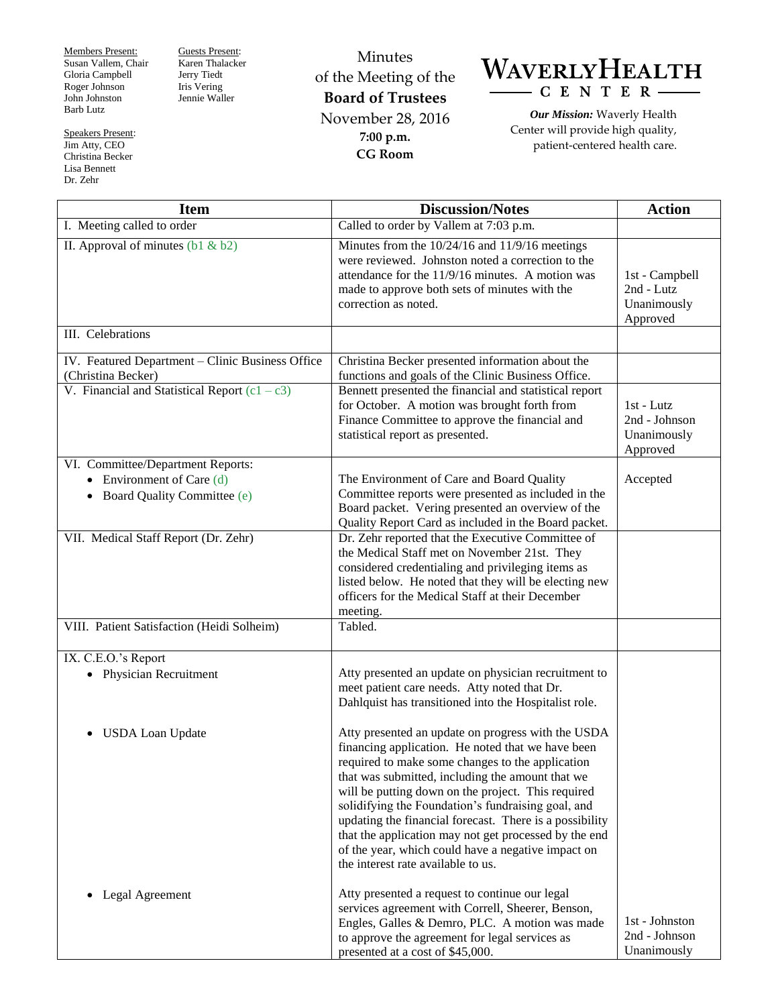Members Present: Susan Vallem, Chair Gloria Campbell Roger Johnson John Johnston Barb Lutz

Speakers Present: Jim Atty, CEO Christina Becker Lisa Bennett Dr. Zehr

Guests Present: Karen Thalacker Jerry Tiedt Iris Vering Jennie Waller

Minutes of the Meeting of the **Board of Trustees** November 28, 2016 **7:00 p.m. CG Room**

WAVERLYHEALTH  $- C E N T E R -$ 

*Our Mission:* Waverly Health Center will provide high quality, patient-centered health care.

| <b>Item</b>                                                                                                           | <b>Discussion/Notes</b>                                                                                                                                                                                                                                                                                                                                                                                                                                                                                                                     | <b>Action</b>                                            |
|-----------------------------------------------------------------------------------------------------------------------|---------------------------------------------------------------------------------------------------------------------------------------------------------------------------------------------------------------------------------------------------------------------------------------------------------------------------------------------------------------------------------------------------------------------------------------------------------------------------------------------------------------------------------------------|----------------------------------------------------------|
| I. Meeting called to order                                                                                            | Called to order by Vallem at 7:03 p.m.                                                                                                                                                                                                                                                                                                                                                                                                                                                                                                      |                                                          |
| II. Approval of minutes $(b1 \& b2)$                                                                                  | Minutes from the 10/24/16 and 11/9/16 meetings<br>were reviewed. Johnston noted a correction to the<br>attendance for the 11/9/16 minutes. A motion was<br>made to approve both sets of minutes with the<br>correction as noted.                                                                                                                                                                                                                                                                                                            | 1st - Campbell<br>2nd - Lutz<br>Unanimously<br>Approved  |
| III. Celebrations                                                                                                     |                                                                                                                                                                                                                                                                                                                                                                                                                                                                                                                                             |                                                          |
| IV. Featured Department - Clinic Business Office<br>(Christina Becker)                                                | Christina Becker presented information about the<br>functions and goals of the Clinic Business Office.                                                                                                                                                                                                                                                                                                                                                                                                                                      |                                                          |
| V. Financial and Statistical Report $(c1 - c3)$                                                                       | Bennett presented the financial and statistical report<br>for October. A motion was brought forth from<br>Finance Committee to approve the financial and<br>statistical report as presented.                                                                                                                                                                                                                                                                                                                                                | $1st$ - Lutz<br>2nd - Johnson<br>Unanimously<br>Approved |
| VI. Committee/Department Reports:<br>Environment of Care (d)<br>$\bullet$<br>Board Quality Committee (e)<br>$\bullet$ | The Environment of Care and Board Quality<br>Committee reports were presented as included in the<br>Board packet. Vering presented an overview of the<br>Quality Report Card as included in the Board packet.                                                                                                                                                                                                                                                                                                                               | Accepted                                                 |
| VII. Medical Staff Report (Dr. Zehr)                                                                                  | Dr. Zehr reported that the Executive Committee of<br>the Medical Staff met on November 21st. They<br>considered credentialing and privileging items as<br>listed below. He noted that they will be electing new<br>officers for the Medical Staff at their December<br>meeting.                                                                                                                                                                                                                                                             |                                                          |
| VIII. Patient Satisfaction (Heidi Solheim)                                                                            | Tabled.                                                                                                                                                                                                                                                                                                                                                                                                                                                                                                                                     |                                                          |
| IX. C.E.O.'s Report                                                                                                   |                                                                                                                                                                                                                                                                                                                                                                                                                                                                                                                                             |                                                          |
| <b>Physician Recruitment</b><br>$\bullet$                                                                             | Atty presented an update on physician recruitment to<br>meet patient care needs. Atty noted that Dr.<br>Dahlquist has transitioned into the Hospitalist role.                                                                                                                                                                                                                                                                                                                                                                               |                                                          |
| <b>USDA Loan Update</b><br>$\bullet$                                                                                  | Atty presented an update on progress with the USDA<br>financing application. He noted that we have been<br>required to make some changes to the application<br>that was submitted, including the amount that we<br>will be putting down on the project. This required<br>solidifying the Foundation's fundraising goal, and<br>updating the financial forecast. There is a possibility<br>that the application may not get processed by the end<br>of the year, which could have a negative impact on<br>the interest rate available to us. |                                                          |
| Legal Agreement                                                                                                       | Atty presented a request to continue our legal<br>services agreement with Correll, Sheerer, Benson,<br>Engles, Galles & Demro, PLC. A motion was made<br>to approve the agreement for legal services as<br>presented at a cost of \$45,000.                                                                                                                                                                                                                                                                                                 | 1st - Johnston<br>2nd - Johnson<br>Unanimously           |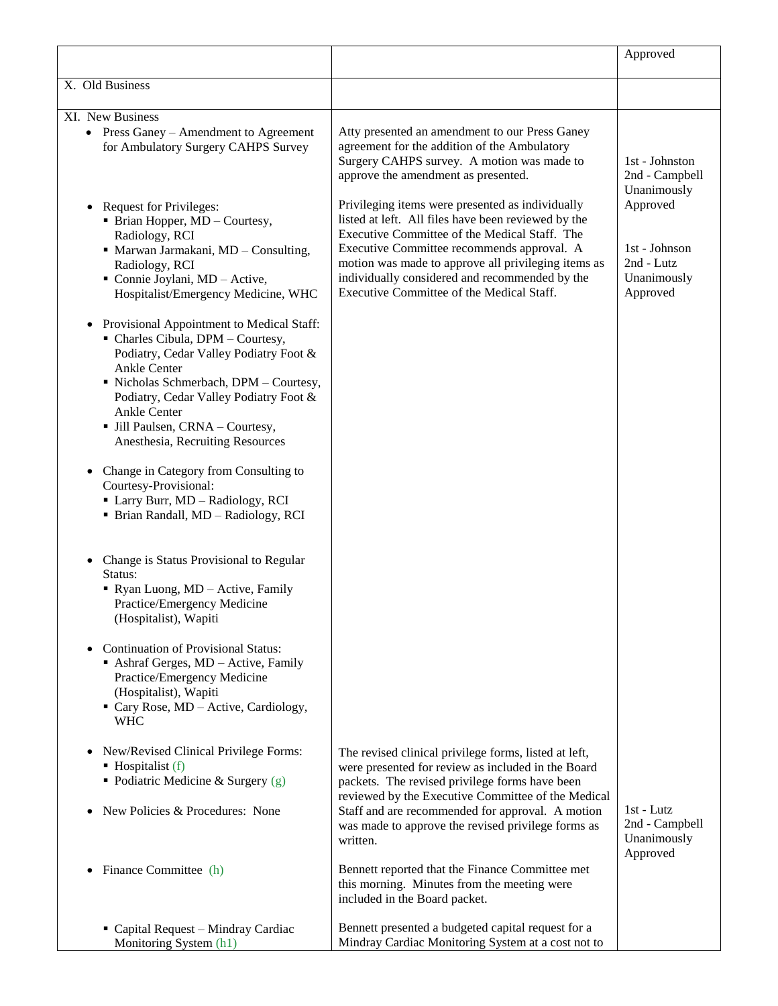|                                                                                                                                                                                                                                                                                                                                                                                                                                                                                             |                                                                                                                                                                                                                                                                                                                                                              | Approved                                                           |
|---------------------------------------------------------------------------------------------------------------------------------------------------------------------------------------------------------------------------------------------------------------------------------------------------------------------------------------------------------------------------------------------------------------------------------------------------------------------------------------------|--------------------------------------------------------------------------------------------------------------------------------------------------------------------------------------------------------------------------------------------------------------------------------------------------------------------------------------------------------------|--------------------------------------------------------------------|
| X. Old Business                                                                                                                                                                                                                                                                                                                                                                                                                                                                             |                                                                                                                                                                                                                                                                                                                                                              |                                                                    |
|                                                                                                                                                                                                                                                                                                                                                                                                                                                                                             |                                                                                                                                                                                                                                                                                                                                                              |                                                                    |
| XI. New Business<br>• Press Ganey – Amendment to Agreement<br>for Ambulatory Surgery CAHPS Survey                                                                                                                                                                                                                                                                                                                                                                                           | Atty presented an amendment to our Press Ganey<br>agreement for the addition of the Ambulatory<br>Surgery CAHPS survey. A motion was made to<br>approve the amendment as presented.                                                                                                                                                                          | 1st - Johnston<br>2nd - Campbell<br>Unanimously                    |
| Request for Privileges:<br>$\bullet$<br>• Brian Hopper, MD - Courtesy,<br>Radiology, RCI<br>· Marwan Jarmakani, MD - Consulting,<br>Radiology, RCI<br>Connie Joylani, MD - Active,<br>Hospitalist/Emergency Medicine, WHC                                                                                                                                                                                                                                                                   | Privileging items were presented as individually<br>listed at left. All files have been reviewed by the<br>Executive Committee of the Medical Staff. The<br>Executive Committee recommends approval. A<br>motion was made to approve all privileging items as<br>individually considered and recommended by the<br>Executive Committee of the Medical Staff. | Approved<br>1st - Johnson<br>2nd - Lutz<br>Unanimously<br>Approved |
| Provisional Appointment to Medical Staff:<br>$\bullet$<br>• Charles Cibula, DPM - Courtesy,<br>Podiatry, Cedar Valley Podiatry Foot &<br>Ankle Center<br>· Nicholas Schmerbach, DPM - Courtesy,<br>Podiatry, Cedar Valley Podiatry Foot &<br>Ankle Center<br>· Jill Paulsen, CRNA - Courtesy,<br>Anesthesia, Recruiting Resources<br>Change in Category from Consulting to<br>$\bullet$<br>Courtesy-Provisional:<br>Larry Burr, MD - Radiology, RCI<br>• Brian Randall, MD - Radiology, RCI |                                                                                                                                                                                                                                                                                                                                                              |                                                                    |
| Change is Status Provisional to Regular<br>$\bullet$<br>Status:<br>• Ryan Luong, MD - Active, Family<br>Practice/Emergency Medicine<br>(Hospitalist), Wapiti                                                                                                                                                                                                                                                                                                                                |                                                                                                                                                                                                                                                                                                                                                              |                                                                    |
| <b>Continuation of Provisional Status:</b><br>Ashraf Gerges, MD - Active, Family<br>Practice/Emergency Medicine<br>(Hospitalist), Wapiti<br>• Cary Rose, MD – Active, Cardiology,<br><b>WHC</b>                                                                                                                                                                                                                                                                                             |                                                                                                                                                                                                                                                                                                                                                              |                                                                    |
| New/Revised Clinical Privilege Forms:<br>$\bullet$<br>$\blacksquare$ Hospitalist (f)<br>• Podiatric Medicine & Surgery $(g)$<br>New Policies & Procedures: None                                                                                                                                                                                                                                                                                                                             | The revised clinical privilege forms, listed at left,<br>were presented for review as included in the Board<br>packets. The revised privilege forms have been<br>reviewed by the Executive Committee of the Medical<br>Staff and are recommended for approval. A motion                                                                                      | 1st - Lutz                                                         |
|                                                                                                                                                                                                                                                                                                                                                                                                                                                                                             | was made to approve the revised privilege forms as<br>written.                                                                                                                                                                                                                                                                                               | 2nd - Campbell<br>Unanimously<br>Approved                          |
| Finance Committee (h)<br>٠                                                                                                                                                                                                                                                                                                                                                                                                                                                                  | Bennett reported that the Finance Committee met<br>this morning. Minutes from the meeting were<br>included in the Board packet.                                                                                                                                                                                                                              |                                                                    |
| Capital Request - Mindray Cardiac<br>Monitoring System (h1)                                                                                                                                                                                                                                                                                                                                                                                                                                 | Bennett presented a budgeted capital request for a<br>Mindray Cardiac Monitoring System at a cost not to                                                                                                                                                                                                                                                     |                                                                    |